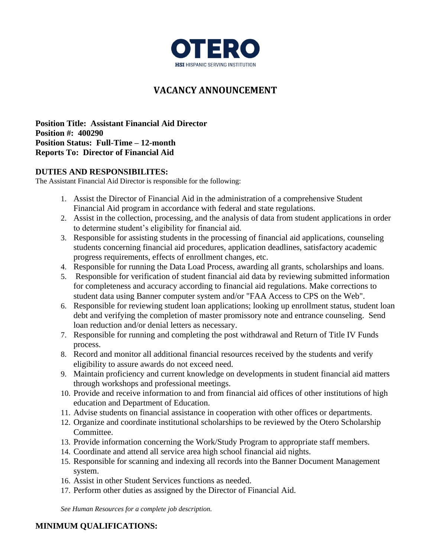

# **VACANCY ANNOUNCEMENT**

**Position Title: Assistant Financial Aid Director Position #: 400290 Position Status: Full-Time – 12-month Reports To: Director of Financial Aid**

#### **DUTIES AND RESPONSIBILITES:**

The Assistant Financial Aid Director is responsible for the following:

- 1. Assist the Director of Financial Aid in the administration of a comprehensive Student Financial Aid program in accordance with federal and state regulations.
- 2. Assist in the collection, processing, and the analysis of data from student applications in order to determine student's eligibility for financial aid.
- 3. Responsible for assisting students in the processing of financial aid applications, counseling students concerning financial aid procedures, application deadlines, satisfactory academic progress requirements, effects of enrollment changes, etc.
- 4. Responsible for running the Data Load Process, awarding all grants, scholarships and loans.
- 5. Responsible for verification of student financial aid data by reviewing submitted information for completeness and accuracy according to financial aid regulations. Make corrections to student data using Banner computer system and/or "FAA Access to CPS on the Web".
- 6. Responsible for reviewing student loan applications; looking up enrollment status, student loan debt and verifying the completion of master promissory note and entrance counseling. Send loan reduction and/or denial letters as necessary.
- 7. Responsible for running and completing the post withdrawal and Return of Title IV Funds process.
- 8. Record and monitor all additional financial resources received by the students and verify eligibility to assure awards do not exceed need.
- 9. Maintain proficiency and current knowledge on developments in student financial aid matters through workshops and professional meetings.
- 10. Provide and receive information to and from financial aid offices of other institutions of high education and Department of Education.
- 11. Advise students on financial assistance in cooperation with other offices or departments.
- 12. Organize and coordinate institutional scholarships to be reviewed by the Otero Scholarship Committee.
- 13. Provide information concerning the Work/Study Program to appropriate staff members.
- 14. Coordinate and attend all service area high school financial aid nights.
- 15. Responsible for scanning and indexing all records into the Banner Document Management system.
- 16. Assist in other Student Services functions as needed.
- 17. Perform other duties as assigned by the Director of Financial Aid.

*See Human Resources for a complete job description.*

#### **MINIMUM QUALIFICATIONS:**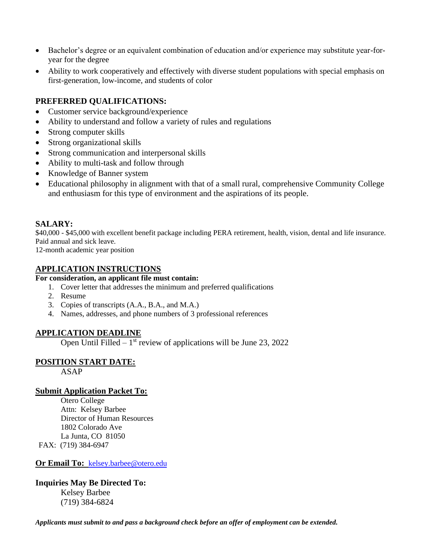- Bachelor's degree or an equivalent combination of education and/or experience may substitute year-foryear for the degree
- Ability to work cooperatively and effectively with diverse student populations with special emphasis on first-generation, low-income, and students of color

## **PREFERRED QUALIFICATIONS:**

- Customer service background/experience
- Ability to understand and follow a variety of rules and regulations
- Strong computer skills
- Strong organizational skills
- Strong communication and interpersonal skills
- Ability to multi-task and follow through
- Knowledge of Banner system
- Educational philosophy in alignment with that of a small rural, comprehensive Community College and enthusiasm for this type of environment and the aspirations of its people.

#### **SALARY:**

\$40,000 - \$45,000 with excellent benefit package including PERA retirement, health, vision, dental and life insurance. Paid annual and sick leave.

12-month academic year position

#### **APPLICATION INSTRUCTIONS**

## **For consideration, an applicant file must contain:**

- 1. Cover letter that addresses the minimum and preferred qualifications
- 2. Resume
- 3. Copies of transcripts (A.A., B.A., and M.A.)
- 4. Names, addresses, and phone numbers of 3 professional references

## **APPLICATION DEADLINE**

Open Until Filled  $-1$ <sup>st</sup> review of applications will be June 23, 2022

## **POSITION START DATE:**

ASAP

## **Submit Application Packet To:**

Otero College Attn: Kelsey Barbee Director of Human Resources 1802 Colorado Ave La Junta, CO 81050 FAX: (719) 384-6947

**Or Email To:** [kelsey.barbee@otero.edu](mailto:kelsey.barbee@otero.edu)

## **Inquiries May Be Directed To:** Kelsey Barbee

(719) 384-6824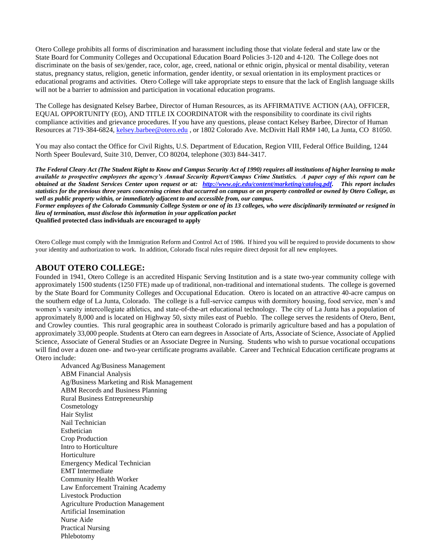Otero College prohibits all forms of discrimination and harassment including those that violate federal and state law or the State Board for Community Colleges and Occupational Education Board Policies 3-120 and 4-120. The College does not discriminate on the basis of sex/gender, race, color, age, creed, national or ethnic origin, physical or mental disability, veteran status, pregnancy status, religion, genetic information, gender identity, or sexual orientation in its employment practices or educational programs and activities. Otero College will take appropriate steps to ensure that the lack of English language skills will not be a barrier to admission and participation in vocational education programs.

The College has designated Kelsey Barbee, Director of Human Resources, as its AFFIRMATIVE ACTION (AA), OFFICER, EQUAL OPPORTUNITY (EO), AND TITLE IX COORDINATOR with the responsibility to coordinate its civil rights compliance activities and grievance procedures. If you have any questions, please contact Kelsey Barbee, Director of Human Resources at 719-384-6824, [kelsey.barbee@otero.edu](mailto:kelsey.barbee@otero.edu) , or 1802 Colorado Ave. McDivitt Hall RM# 140, La Junta, CO 81050.

You may also contact the Office for Civil Rights, U.S. Department of Education, Region VIII, Federal Office Building, 1244 North Speer Boulevard, Suite 310, Denver, CO 80204, telephone (303) 844-3417.

*The Federal Cleary Act (The Student Right to Know and Campus Security Act of 1990) requires all institutions of higher learning to make available to prospective employees the agency's Annual Security Report/Campus Crime Statistics. A paper copy of this report can be obtained at the Student Services Center upon request or at: [http://www.ojc.edu/content/marketing/catalog.pdf.](http://www.ojc.edu/content/marketing/catalog.pdf) This report includes statistics for the previous three years concerning crimes that occurred on campus or on property controlled or owned by Otero College, as well as public property within, or immediately adjacent to and accessible from, our campus.*

*Former employees of the Colorado Community College System or one of its 13 colleges, who were disciplinarily terminated or resigned in lieu of termination, must disclose this information in your application packet* **Qualified protected class individuals are encouraged to apply**

Otero College must comply with the Immigration Reform and Control Act of 1986. If hired you will be required to provide documents to show your identity and authorization to work. In addition, Colorado fiscal rules require direct deposit for all new employees.

#### **ABOUT OTERO COLLEGE:**

Founded in 1941, Otero College is an accredited Hispanic Serving Institution and is a state two-year community college with approximately 1500 students (1250 FTE) made up of traditional, non-traditional and international students. The college is governed by the State Board for Community Colleges and Occupational Education. Otero is located on an attractive 40-acre campus on the southern edge of La Junta, Colorado. The college is a full-service campus with dormitory housing, food service, men's and women's varsity intercollegiate athletics, and state-of-the-art educational technology. The city of La Junta has a population of approximately 8,000 and is located on Highway 50, sixty miles east of Pueblo. The college serves the residents of Otero, Bent, and Crowley counties. This rural geographic area in southeast Colorado is primarily agriculture based and has a population of approximately 33,000 people. Students at Otero can earn degrees in Associate of Arts, Associate of Science, Associate of Applied Science, Associate of General Studies or an Associate Degree in Nursing. Students who wish to pursue vocational occupations will find over a dozen one- and two-year certificate programs available. Career and Technical Education certificate programs at Otero include:

Advanced Ag/Business Management ABM Financial Analysis Ag/Business Marketing and Risk Management ABM Records and Business Planning Rural Business Entrepreneurship Cosmetology Hair Stylist Nail Technician Esthetician Crop Production Intro to Horticulture Horticulture Emergency Medical Technician EMT Intermediate Community Health Worker Law Enforcement Training Academy Livestock Production Agriculture Production Management Artificial Insemination Nurse Aide Practical Nursing Phlebotomy